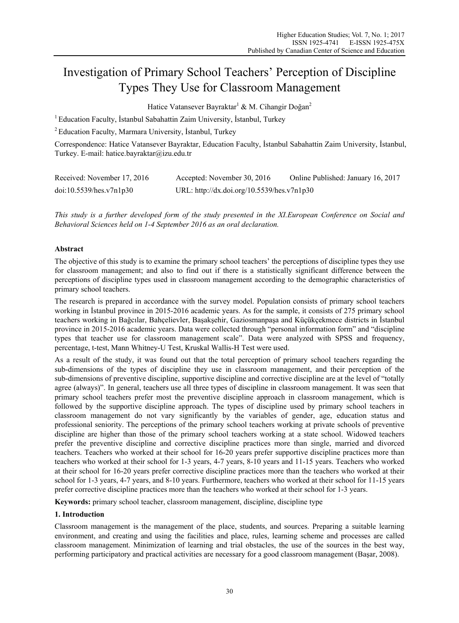# Investigation of Primary School Teachers' Perception of Discipline Types They Use for Classroom Management

Hatice Vatansever Bayraktar<sup>1</sup> & M. Cihangir Doğan<sup>2</sup>

<sup>1</sup> Education Faculty, İstanbul Sabahattin Zaim University, İstanbul, Turkey

2 Education Faculty, Marmara University, İstanbul, Turkey

Correspondence: Hatice Vatansever Bayraktar, Education Faculty, İstanbul Sabahattin Zaim University, İstanbul, Turkey. E-mail: hatice.bayraktar@izu.edu.tr

| Received: November 17, 2016 | Accepted: November 30, 2016                | Online Published: January 16, 2017 |
|-----------------------------|--------------------------------------------|------------------------------------|
| doi:10.5539/hes.v7n1p30     | URL: http://dx.doi.org/10.5539/hes.v7n1p30 |                                    |

*This study is a further developed form of the study presented in the XI.European Conference on Social and Behavioral Sciences held on 1-4 September 2016 as an oral declaration.* 

# **Abstract**

The objective of this study is to examine the primary school teachers' the perceptions of discipline types they use for classroom management; and also to find out if there is a statistically significant difference between the perceptions of discipline types used in classroom management according to the demographic characteristics of primary school teachers.

The research is prepared in accordance with the survey model. Population consists of primary school teachers working in İstanbul province in 2015-2016 academic years. As for the sample, it consists of 275 primary school teachers working in Bağcılar, Bahçelievler, Başakşehir, Gaziosmanpaşa and Küçükçekmece districts in İstanbul province in 2015-2016 academic years. Data were collected through "personal information form" and "discipline types that teacher use for classroom management scale". Data were analyzed with SPSS and frequency, percentage, t-test, Mann Whitney-U Test, Kruskal Wallis-H Test were used.

As a result of the study, it was found out that the total perception of primary school teachers regarding the sub-dimensions of the types of discipline they use in classroom management, and their perception of the sub-dimensions of preventive discipline, supportive discipline and corrective discipline are at the level of "totally agree (always)". In general, teachers use all three types of discipline in classroom management. It was seen that primary school teachers prefer most the preventive discipline approach in classroom management, which is followed by the supportive discipline approach. The types of discipline used by primary school teachers in classroom management do not vary significantly by the variables of gender, age, education status and professional seniority. The perceptions of the primary school teachers working at private schools of preventive discipline are higher than those of the primary school teachers working at a state school. Widowed teachers prefer the preventive discipline and corrective discipline practices more than single, married and divorced teachers. Teachers who worked at their school for 16-20 years prefer supportive discipline practices more than teachers who worked at their school for 1-3 years, 4-7 years, 8-10 years and 11-15 years. Teachers who worked at their school for 16-20 years prefer corrective discipline practices more than the teachers who worked at their school for 1-3 years, 4-7 years, and 8-10 years. Furthermore, teachers who worked at their school for 11-15 years prefer corrective discipline practices more than the teachers who worked at their school for 1-3 years.

**Keywords:** primary school teacher, classroom management, discipline, discipline type

## **1. Introduction**

Classroom management is the management of the place, students, and sources. Preparing a suitable learning environment, and creating and using the facilities and place, rules, learning scheme and processes are called classroom management. Minimization of learning and trial obstacles, the use of the sources in the best way, performing participatory and practical activities are necessary for a good classroom management (Başar, 2008).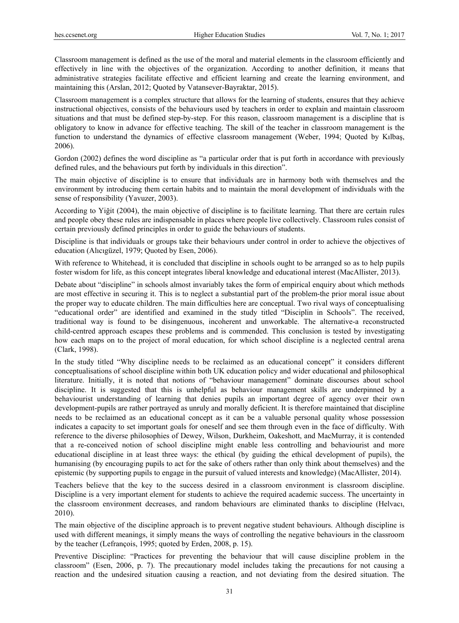Classroom management is defined as the use of the moral and material elements in the classroom efficiently and effectively in line with the objectives of the organization. According to another definition, it means that administrative strategies facilitate effective and efficient learning and create the learning environment, and maintaining this (Arslan, 2012; Quoted by Vatansever-Bayraktar, 2015).

Classroom management is a complex structure that allows for the learning of students, ensures that they achieve instructional objectives, consists of the behaviours used by teachers in order to explain and maintain classroom situations and that must be defined step-by-step. For this reason, classroom management is a discipline that is obligatory to know in advance for effective teaching. The skill of the teacher in classroom management is the function to understand the dynamics of effective classroom management (Weber, 1994; Quoted by Kılbaş, 2006).

Gordon (2002) defines the word discipline as "a particular order that is put forth in accordance with previously defined rules, and the behaviours put forth by individuals in this direction".

The main objective of discipline is to ensure that individuals are in harmony both with themselves and the environment by introducing them certain habits and to maintain the moral development of individuals with the sense of responsibility (Yavuzer, 2003).

According to Yiğit (2004), the main objective of discipline is to facilitate learning. That there are certain rules and people obey these rules are indispensable in places where people live collectively. Classroom rules consist of certain previously defined principles in order to guide the behaviours of students.

Discipline is that individuals or groups take their behaviours under control in order to achieve the objectives of education (Alıcıgüzel, 1979; Quoted by Esen, 2006).

With reference to Whitehead, it is concluded that discipline in schools ought to be arranged so as to help pupils foster wisdom for life, as this concept integrates liberal knowledge and educational interest (MacAllister, 2013).

Debate about "discipline" in schools almost invariably takes the form of empirical enquiry about which methods are most effective in securing it. This is to neglect a substantial part of the problem-the prior moral issue about the proper way to educate children. The main difficulties here are conceptual. Two rival ways of conceptualising "educational order" are identified and examined in the study titled "Disciplin in Schools". The received, traditional way is found to be disingenuous, incoherent and unworkable. The alternative-a reconstructed child-centred approach escapes these problems and is commended. This conclusion is tested by investigating how each maps on to the project of moral education, for which school discipline is a neglected central arena (Clark, 1998).

In the study titled "Why discipline needs to be reclaimed as an educational concept" it considers different conceptualisations of school discipline within both UK education policy and wider educational and philosophical literature. Initially, it is noted that notions of "behaviour management" dominate discourses about school discipline. It is suggested that this is unhelpful as behaviour management skills are underpinned by a behaviourist understanding of learning that denies pupils an important degree of agency over their own development-pupils are rather portrayed as unruly and morally deficient. It is therefore maintained that discipline needs to be reclaimed as an educational concept as it can be a valuable personal quality whose possession indicates a capacity to set important goals for oneself and see them through even in the face of difficulty. With reference to the diverse philosophies of Dewey, Wilson, Durkheim, Oakeshott, and MacMurray, it is contended that a re-conceived notion of school discipline might enable less controlling and behaviourist and more educational discipline in at least three ways: the ethical (by guiding the ethical development of pupils), the humanising (by encouraging pupils to act for the sake of others rather than only think about themselves) and the epistemic (by supporting pupils to engage in the pursuit of valued interests and knowledge) (MacAllister, 2014).

Teachers believe that the key to the success desired in a classroom environment is classroom discipline. Discipline is a very important element for students to achieve the required academic success. The uncertainty in the classroom environment decreases, and random behaviours are eliminated thanks to discipline (Helvacı, 2010).

The main objective of the discipline approach is to prevent negative student behaviours. Although discipline is used with different meanings, it simply means the ways of controlling the negative behaviours in the classroom by the teacher (Lefrançois, 1995; quoted by Erden, 2008, p. 15).

Preventive Discipline: "Practices for preventing the behaviour that will cause discipline problem in the classroom" (Esen, 2006, p. 7). The precautionary model includes taking the precautions for not causing a reaction and the undesired situation causing a reaction, and not deviating from the desired situation. The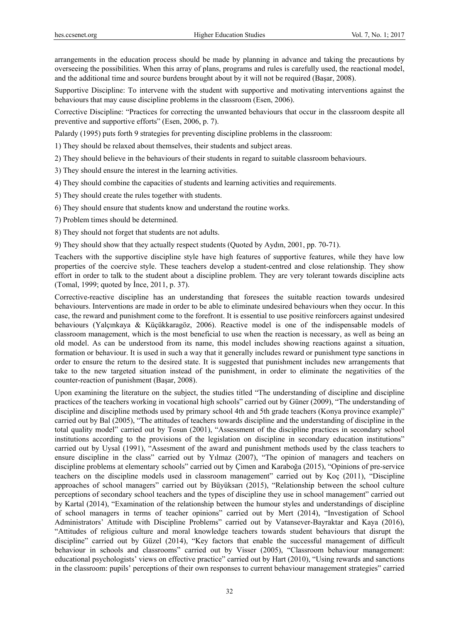arrangements in the education process should be made by planning in advance and taking the precautions by overseeing the possibilities. When this array of plans, programs and rules is carefully used, the reactional model, and the additional time and source burdens brought about by it will not be required (Başar, 2008).

Supportive Discipline: To intervene with the student with supportive and motivating interventions against the behaviours that may cause discipline problems in the classroom (Esen, 2006).

Corrective Discipline: "Practices for correcting the unwanted behaviours that occur in the classroom despite all preventive and supportive efforts" (Esen, 2006, p. 7).

Palardy (1995) puts forth 9 strategies for preventing discipline problems in the classroom:

1) They should be relaxed about themselves, their students and subject areas.

2) They should believe in the behaviours of their students in regard to suitable classroom behaviours.

3) They should ensure the interest in the learning activities.

4) They should combine the capacities of students and learning activities and requirements.

5) They should create the rules together with students.

6) They should ensure that students know and understand the routine works.

7) Problem times should be determined.

8) They should not forget that students are not adults.

9) They should show that they actually respect students (Quoted by Aydın, 2001, pp. 70-71).

Teachers with the supportive discipline style have high features of supportive features, while they have low properties of the coercive style. These teachers develop a student-centred and close relationship. They show effort in order to talk to the student about a discipline problem. They are very tolerant towards discipline acts (Tomal, 1999; quoted by İnce, 2011, p. 37).

Corrective-reactive discipline has an understanding that foresees the suitable reaction towards undesired behaviours. Interventions are made in order to be able to eliminate undesired behaviours when they occur. In this case, the reward and punishment come to the forefront. It is essential to use positive reinforcers against undesired behaviours (Yalçınkaya & Küçükkaragöz, 2006). Reactive model is one of the indispensable models of classroom management, which is the most beneficial to use when the reaction is necessary, as well as being an old model. As can be understood from its name, this model includes showing reactions against a situation, formation or behaviour. It is used in such a way that it generally includes reward or punishment type sanctions in order to ensure the return to the desired state. It is suggested that punishment includes new arrangements that take to the new targeted situation instead of the punishment, in order to eliminate the negativities of the counter-reaction of punishment (Başar, 2008).

Upon examining the literature on the subject, the studies titled "The understanding of discipline and discipline practices of the teachers working in vocational high schools" carried out by Güner (2009), "The understanding of discipline and discipline methods used by primary school 4th and 5th grade teachers (Konya province example)" carried out by Bal (2005), "The attitudes of teachers towards discipline and the understanding of discipline in the total quality model" carried out by Tosun (2001), "Assessment of the discipline practices in secondary school institutions according to the provisions of the legislation on discipline in secondary education institutions" carried out by Uysal (1991), "Assesment of the award and punishment methods used by the class teachers to ensure discipline in the class" carried out by Yılmaz (2007), "The opinion of managers and teachers on discipline problems at elementary schools" carried out by Çimen and Karaboğa (2015), "Opinions of pre-service teachers on the discipline models used in classroom management" carried out by Koç (2011), "Discipline approaches of school managers" carried out by Büyüksarı (2015), "Relationship between the school culture perceptions of secondary school teachers and the types of discipline they use in school management" carried out by Kartal (2014), "Examination of the relationship between the humour styles and understandings of discipline of school managers in terms of teacher opinions" carried out by Mert (2014), "Investigation of School Administrators' Attitude with Discipline Problems" carried out by Vatansever-Bayraktar and Kaya (2016), "Attitudes of religious culture and moral knowledge teachers towards student behaviours that disrupt the discipline" carried out by Güzel (2014), "Key factors that enable the successful management of difficult behaviour in schools and classrooms" carried out by Visser (2005), "Classroom behaviour management: educational psychologists' views on effective practice" carried out by Hart (2010), "Using rewards and sanctions in the classroom: pupils' perceptions of their own responses to current behaviour management strategies" carried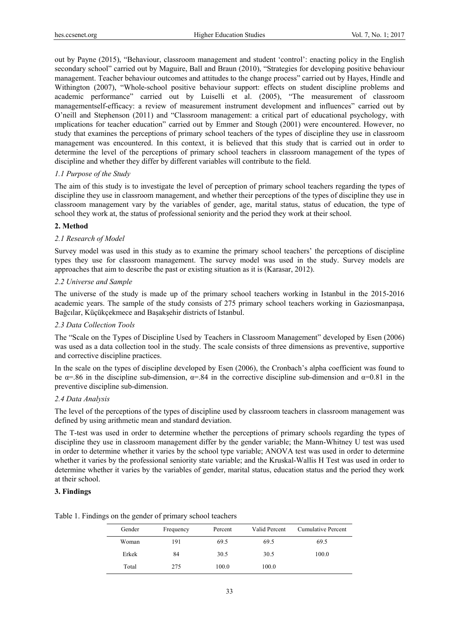out by Payne (2015), "Behaviour, classroom management and student 'control': enacting policy in the English secondary school" carried out by Maguire, Ball and Braun (2010), "Strategies for developing positive behaviour management. Teacher behaviour outcomes and attitudes to the change process" carried out by Hayes, Hindle and Withington (2007), "Whole-school positive behaviour support: effects on student discipline problems and academic performance" carried out by Luiselli et al. (2005), "The measurement of classroom managementself-efficacy: a review of measurement instrument development and influences" carried out by O'neill and Stephenson (2011) and "Classroom management: a critical part of educational psychology, with ımplications for teacher education" carried out by Emmer and Stough (2001) were encountered. However, no study that examines the perceptions of primary school teachers of the types of discipline they use in classroom management was encountered. In this context, it is believed that this study that is carried out in order to determine the level of the perceptions of primary school teachers in classroom management of the types of discipline and whether they differ by different variables will contribute to the field.

# *1.1 Purpose of the Study*

The aim of this study is to investigate the level of perception of primary school teachers regarding the types of discipline they use in classroom management, and whether their perceptions of the types of discipline they use in classroom management vary by the variables of gender, age, marital status, status of education, the type of school they work at, the status of professional seniority and the period they work at their school.

# **2. Method**

# *2.1 Research of Model*

Survey model was used in this study as to examine the primary school teachers' the perceptions of discipline types they use for classroom management. The survey model was used in the study. Survey models are approaches that aim to describe the past or existing situation as it is (Karasar, 2012).

## *2.2 Universe and Sample*

The universe of the study is made up of the primary school teachers working in Istanbul in the 2015-2016 academic years. The sample of the study consists of 275 primary school teachers working in Gaziosmanpaşa, Bağcılar, Küçükçekmece and Başakşehir districts of Istanbul.

## *2.3 Data Collection Tools*

The "Scale on the Types of Discipline Used by Teachers in Classroom Management" developed by Esen (2006) was used as a data collection tool in the study. The scale consists of three dimensions as preventive, supportive and corrective discipline practices.

In the scale on the types of discipline developed by Esen (2006), the Cronbach's alpha coefficient was found to be  $\alpha$ =.86 in the discipline sub-dimension,  $\alpha$ =.84 in the corrective discipline sub-dimension and  $\alpha$ =0.81 in the preventive discipline sub-dimension.

## *2.4 Data Analysis*

The level of the perceptions of the types of discipline used by classroom teachers in classroom management was defined by using arithmetic mean and standard deviation.

The T-test was used in order to determine whether the perceptions of primary schools regarding the types of discipline they use in classroom management differ by the gender variable; the Mann-Whitney U test was used in order to determine whether it varies by the school type variable; ANOVA test was used in order to determine whether it varies by the professional seniority state variable; and the Kruskal-Wallis H Test was used in order to determine whether it varies by the variables of gender, marital status, education status and the period they work at their school.

## **3. Findings**

|  |  | Table 1. Findings on the gender of primary school teachers |  |  |  |  |
|--|--|------------------------------------------------------------|--|--|--|--|
|--|--|------------------------------------------------------------|--|--|--|--|

| Gender | Frequency | Percent | Valid Percent | Cumulative Percent |
|--------|-----------|---------|---------------|--------------------|
| Woman  | 191       | 69.5    | 69.5          | 69.5               |
| Erkek  | 84        | 30.5    | 30.5          | 100.0              |
| Total  | 275       | 100.0   | 100.0         |                    |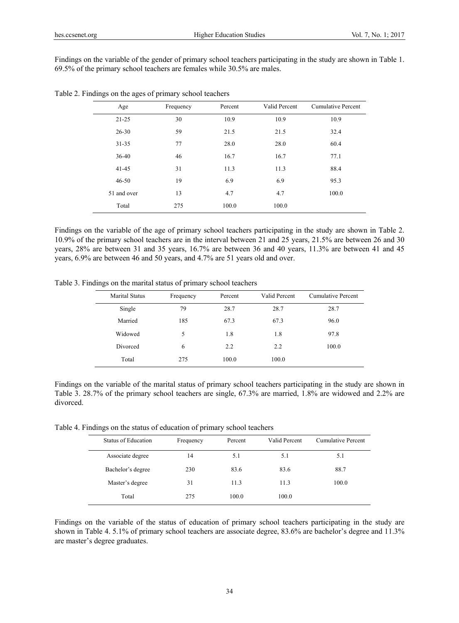Findings on the variable of the gender of primary school teachers participating in the study are shown in Table 1. 69.5% of the primary school teachers are females while 30.5% are males.

| Age         | Frequency | Percent | Valid Percent | Cumulative Percent |
|-------------|-----------|---------|---------------|--------------------|
| $21 - 25$   | 30        | 10.9    | 10.9          | 10.9               |
| $26 - 30$   | 59        | 21.5    | 21.5          | 32.4               |
| $31 - 35$   | 77        | 28.0    | 28.0          | 60.4               |
| $36 - 40$   | 46        | 16.7    | 16.7          | 77.1               |
| $41 - 45$   | 31        | 11.3    | 11.3          | 88.4               |
| $46 - 50$   | 19        | 6.9     | 6.9           | 95.3               |
| 51 and over | 13        | 4.7     | 4.7           | 100.0              |
| Total       | 275       | 100.0   | 100.0         |                    |

Table 2. Findings on the ages of primary school teachers

Findings on the variable of the age of primary school teachers participating in the study are shown in Table 2. 10.9% of the primary school teachers are in the interval between 21 and 25 years, 21.5% are between 26 and 30 years, 28% are between 31 and 35 years, 16.7% are between 36 and 40 years, 11.3% are between 41 and 45 years, 6.9% are between 46 and 50 years, and 4.7% are 51 years old and over.

Table 3. Findings on the marital status of primary school teachers

| <b>Marital Status</b> | Frequency | Percent | Valid Percent | Cumulative Percent |
|-----------------------|-----------|---------|---------------|--------------------|
| Single                | 79        | 28.7    | 28.7          | 28.7               |
| Married               | 185       | 67.3    | 67.3          | 96.0               |
| Widowed               | 5         | 1.8     | 1.8           | 97.8               |
| Divorced              | 6         | 2.2     | 2.2           | 100.0              |
| Total                 | 275       | 100.0   | 100.0         |                    |

Findings on the variable of the marital status of primary school teachers participating in the study are shown in Table 3. 28.7% of the primary school teachers are single, 67.3% are married, 1.8% are widowed and 2.2% are divorced.

Table 4. Findings on the status of education of primary school teachers

| Status of Education | Frequency | Percent | Valid Percent | Cumulative Percent |
|---------------------|-----------|---------|---------------|--------------------|
| Associate degree    | 14        | 5.1     | 5.1           | 5.1                |
| Bachelor's degree   | 230       | 83.6    | 83.6          | 88.7               |
| Master's degree     | 31        | 11.3    | 11.3          | 100.0              |
| Total               | 275       | 100.0   | 100.0         |                    |

Findings on the variable of the status of education of primary school teachers participating in the study are shown in Table 4. 5.1% of primary school teachers are associate degree, 83.6% are bachelor's degree and 11.3% are master's degree graduates.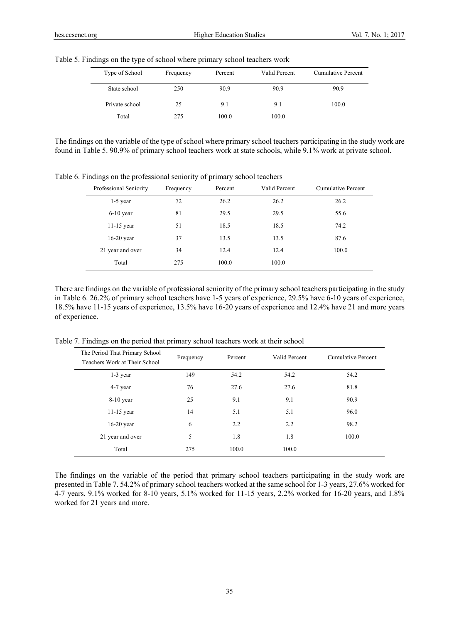| Type of School | Frequency | Percent | Valid Percent | Cumulative Percent |
|----------------|-----------|---------|---------------|--------------------|
| State school   | 250       | 90.9    | 90.9          | 90.9               |
| Private school | 25        | 9.1     | 9.1           | 100.0              |
| Total          | 275       | 100.0   | 100.0         |                    |

Table 5. Findings on the type of school where primary school teachers work

The findings on the variable of the type of school where primary school teachers participating in the study work are found in Table 5. 90.9% of primary school teachers work at state schools, while 9.1% work at private school.

Table 6. Findings on the professional seniority of primary school teachers

| Professional Seniority | Frequency | Percent | Valid Percent | Cumulative Percent |
|------------------------|-----------|---------|---------------|--------------------|
| $1-5$ year             | 72        | 26.2    | 26.2          | 26.2               |
| $6-10$ year            | 81        | 29.5    | 29.5          | 55.6               |
| $11-15$ year           | 51        | 18.5    | 18.5          | 74.2               |
| $16-20$ year           | 37        | 13.5    | 13.5          | 87.6               |
| 21 year and over       | 34        | 12.4    | 12.4          | 100.0              |
| Total                  | 275       | 100.0   | 100.0         |                    |

There are findings on the variable of professional seniority of the primary school teachers participating in the study in Table 6. 26.2% of primary school teachers have 1-5 years of experience, 29.5% have 6-10 years of experience, 18.5% have 11-15 years of experience, 13.5% have 16-20 years of experience and 12.4% have 21 and more years of experience.

Table 7. Findings on the period that primary school teachers work at their school

| The Period That Primary School<br>Teachers Work at Their School | Frequency | Percent | Valid Percent | Cumulative Percent |
|-----------------------------------------------------------------|-----------|---------|---------------|--------------------|
| $1-3$ year                                                      | 149       | 54.2    | 54.2          | 54.2               |
| 4-7 year                                                        | 76        | 27.6    | 27.6          | 81.8               |
| $8-10$ year                                                     | 25        | 9.1     | 9.1           | 90.9               |
| $11-15$ year                                                    | 14        | 5.1     | 5.1           | 96.0               |
| $16-20$ year                                                    | 6         | 2.2     | 2.2           | 98.2               |
| 21 year and over                                                | 5         | 1.8     | 1.8           | 100.0              |
| Total                                                           | 275       | 100.0   | 100.0         |                    |

The findings on the variable of the period that primary school teachers participating in the study work are presented in Table 7. 54.2% of primary school teachers worked at the same school for 1-3 years, 27.6% worked for 4-7 years, 9.1% worked for 8-10 years, 5.1% worked for 11-15 years, 2.2% worked for 16-20 years, and 1.8% worked for 21 years and more.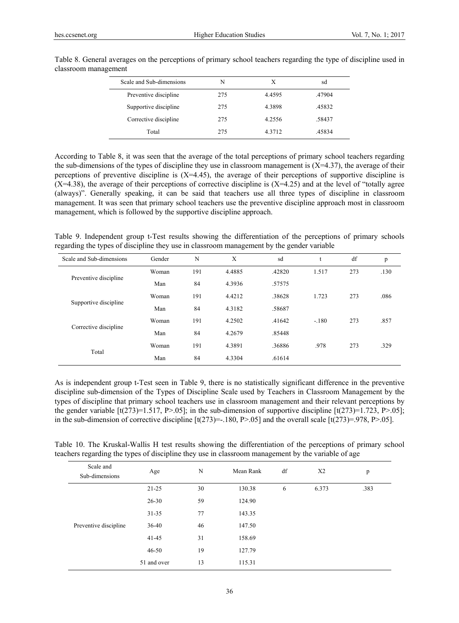| Scale and Sub-dimensions | N   | X      | sd     |
|--------------------------|-----|--------|--------|
| Preventive discipline    | 275 | 4.4595 | .47904 |
| Supportive discipline    | 275 | 4.3898 | .45832 |
| Corrective discipline    | 275 | 4.2556 | .58437 |
| Total                    | 275 | 4.3712 | .45834 |

Table 8. General averages on the perceptions of primary school teachers regarding the type of discipline used in classroom management

According to Table 8, it was seen that the average of the total perceptions of primary school teachers regarding the sub-dimensions of the types of discipline they use in classroom management is  $(X=4.37)$ , the average of their perceptions of preventive discipline is  $(X=4.45)$ , the average of their perceptions of supportive discipline is  $(X=4.38)$ , the average of their perceptions of corrective discipline is  $(X=4.25)$  and at the level of "totally agree" (always)". Generally speaking, it can be said that teachers use all three types of discipline in classroom management. It was seen that primary school teachers use the preventive discipline approach most in classroom management, which is followed by the supportive discipline approach.

Table 9. Independent group t-Test results showing the differentiation of the perceptions of primary schools regarding the types of discipline they use in classroom management by the gender variable

| Scale and Sub-dimensions | Gender | N   | $\mathbf{X}$ | sd     | $\ddot{}$<br>υ | df  | p    |
|--------------------------|--------|-----|--------------|--------|----------------|-----|------|
| Preventive discipline    | Woman  | 191 | 4.4885       | .42820 | 1.517          | 273 | .130 |
|                          | Man    | 84  | 4.3936       | .57575 |                |     |      |
| Supportive discipline    | Woman  | 191 | 4.4212       | .38628 | 1.723          | 273 | .086 |
|                          | Man    | 84  | 4.3182       | .58687 |                |     |      |
|                          | Woman  | 191 | 4.2502       | .41642 | $-.180$        | 273 | .857 |
| Corrective discipline    | Man    | 84  | 4.2679       | .85448 |                |     |      |
| Total                    | Woman  | 191 | 4.3891       | .36886 | .978           | 273 | .329 |
|                          | Man    | 84  | 4.3304       | .61614 |                |     |      |

As is independent group t-Test seen in Table 9, there is no statistically significant difference in the preventive discipline sub-dimension of the Types of Discipline Scale used by Teachers in Classroom Management by the types of discipline that primary school teachers use in classroom management and their relevant perceptions by the gender variable  $[t(273)=1.517, P>0.05]$ ; in the sub-dimension of supportive discipline  $[t(273)=1.723, P>0.05]$ ; in the sub-dimension of corrective discipline  $[t(273)=180, P>0.05]$  and the overall scale  $[t(273)=0.978, P>0.05]$ .

|  |  |  | Table 10. The Kruskal-Wallis H test results showing the differentiation of the perceptions of primary school |  |  |
|--|--|--|--------------------------------------------------------------------------------------------------------------|--|--|
|  |  |  | teachers regarding the types of discipline they use in classroom management by the variable of age           |  |  |

| Scale and<br>Sub-dimensions | Age         | N  | Mean Rank | df | X2    | p    |
|-----------------------------|-------------|----|-----------|----|-------|------|
|                             | $21 - 25$   | 30 | 130.38    | 6  | 6.373 | .383 |
|                             | $26 - 30$   | 59 | 124.90    |    |       |      |
|                             | $31 - 35$   | 77 | 143.35    |    |       |      |
| Preventive discipline       | $36 - 40$   | 46 | 147.50    |    |       |      |
|                             | $41 - 45$   | 31 | 158.69    |    |       |      |
|                             | $46 - 50$   | 19 | 127.79    |    |       |      |
|                             | 51 and over | 13 | 115.31    |    |       |      |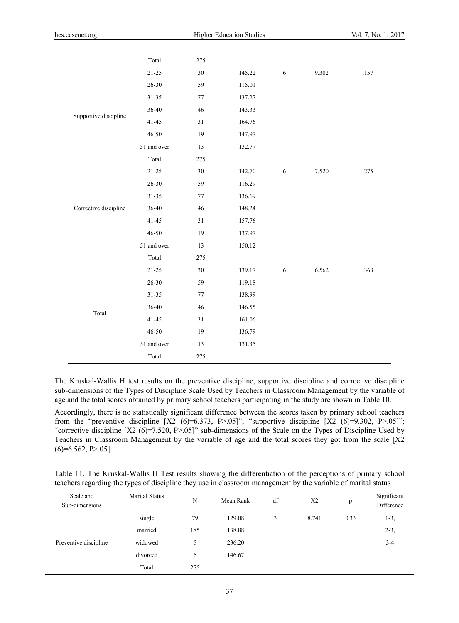|                       | Total       | 275    |        |            |       |      |
|-----------------------|-------------|--------|--------|------------|-------|------|
|                       | $21 - 25$   | 30     | 145.22 | $\sqrt{6}$ | 9.302 | .157 |
|                       | $26 - 30$   | 59     | 115.01 |            |       |      |
|                       | $31 - 35$   | 77     | 137.27 |            |       |      |
|                       | 36-40       | 46     | 143.33 |            |       |      |
| Supportive discipline | $41 - 45$   | 31     | 164.76 |            |       |      |
|                       | $46 - 50$   | 19     | 147.97 |            |       |      |
|                       | 51 and over | 13     | 132.77 |            |       |      |
|                       | Total       | 275    |        |            |       |      |
| Corrective discipline | $21 - 25$   | 30     | 142.70 | $\sqrt{6}$ | 7.520 | .275 |
|                       | $26 - 30$   | 59     | 116.29 |            |       |      |
|                       | $31 - 35$   | 77     | 136.69 |            |       |      |
|                       | 36-40       | $46\,$ | 148.24 |            |       |      |
|                       | $41 - 45$   | 31     | 157.76 |            |       |      |
|                       | $46 - 50$   | 19     | 137.97 |            |       |      |
|                       | 51 and over | 13     | 150.12 |            |       |      |
|                       | Total       | 275    |        |            |       |      |
|                       | $21 - 25$   | 30     | 139.17 | $\sqrt{6}$ | 6.562 | .363 |
|                       | $26 - 30$   | 59     | 119.18 |            |       |      |
|                       | $31 - 35$   | 77     | 138.99 |            |       |      |
| Total                 | 36-40       | $46\,$ | 146.55 |            |       |      |
|                       | $41 - 45$   | 31     | 161.06 |            |       |      |
|                       | $46 - 50$   | 19     | 136.79 |            |       |      |
|                       | 51 and over | 13     | 131.35 |            |       |      |
|                       | Total       | 275    |        |            |       |      |

The Kruskal-Wallis H test results on the preventive discipline, supportive discipline and corrective discipline sub-dimensions of the Types of Discipline Scale Used by Teachers in Classroom Management by the variable of age and the total scores obtained by primary school teachers participating in the study are shown in Table 10.

Accordingly, there is no statistically significant difference between the scores taken by primary school teachers from the "preventive discipline  $[X2 (6)=6.373, P>0.05]$ "; "supportive discipline  $[X2 (6)=9.302, P>0.05]$ "; "corrective discipline  $[X2 (6)=7.520, P>0.05]$ " sub-dimensions of the Scale on the Types of Discipline Used by Teachers in Classroom Management by the variable of age and the total scores they got from the scale [X2  $(6)=6.562, P>0.05$ ].

Table 11. The Kruskal-Wallis H Test results showing the differentiation of the perceptions of primary school teachers regarding the types of discipline they use in classroom management by the variable of marital status

| Scale and<br>Sub-dimensions | <b>Marital Status</b> | N   | Mean Rank | df | X <sub>2</sub> | p    | Significant<br>Difference |
|-----------------------------|-----------------------|-----|-----------|----|----------------|------|---------------------------|
| Preventive discipline       | single                | 79  | 129.08    |    | 8.741          | .033 | $1-3,$                    |
|                             | married               | 185 | 138.88    |    |                |      | $2-3,$                    |
|                             | widowed               | 5   | 236.20    |    |                |      | $3 - 4$                   |
|                             | divorced              | 6   | 146.67    |    |                |      |                           |
|                             | Total                 | 275 |           |    |                |      |                           |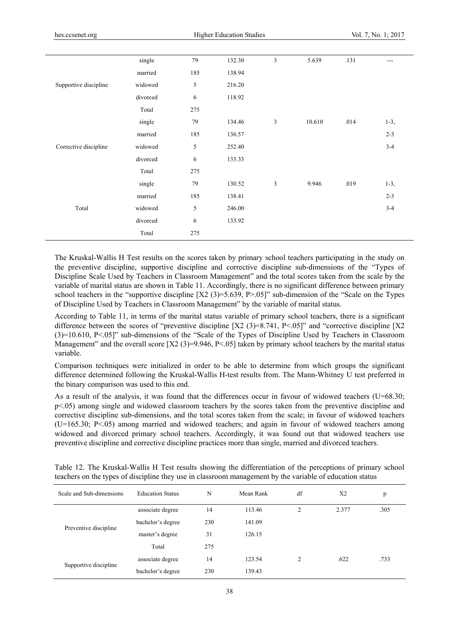|                       | single   | 79  | 132.30 | $\mathfrak{Z}$ | 5.639  | .131 | ---     |
|-----------------------|----------|-----|--------|----------------|--------|------|---------|
|                       | married  | 185 | 138.94 |                |        |      |         |
| Supportive discipline | widowed  | 5   | 216.20 |                |        |      |         |
|                       | divorced | 6   | 118.92 |                |        |      |         |
|                       | Total    | 275 |        |                |        |      |         |
| Corrective discipline | single   | 79  | 134.46 | $\mathfrak{Z}$ | 10.610 | .014 | $1-3,$  |
|                       | married  | 185 | 136.57 |                |        |      | $2 - 3$ |
|                       | widowed  | 5   | 252.40 |                |        |      | $3 - 4$ |
|                       | divorced | 6   | 133.33 |                |        |      |         |
|                       | Total    | 275 |        |                |        |      |         |
|                       | single   | 79  | 130.52 | $\mathfrak{Z}$ | 9.946  | .019 | $1-3,$  |
|                       | married  | 185 | 138.41 |                |        |      | $2 - 3$ |
| Total                 | widowed  | 5   | 246.00 |                |        |      | $3 - 4$ |
|                       | divorced | 6   | 133.92 |                |        |      |         |
|                       | Total    | 275 |        |                |        |      |         |

The Kruskal-Wallis H Test results on the scores taken by primary school teachers participating in the study on the preventive discipline, supportive discipline and corrective discipline sub-dimensions of the "Types of Discipline Scale Used by Teachers in Classroom Management" and the total scores taken from the scale by the variable of marital status are shown in Table 11. Accordingly, there is no significant difference between primary school teachers in the "supportive discipline  $[X2 (3)=5.639, P>0.05]$ " sub-dimension of the "Scale on the Types of Discipline Used by Teachers in Classroom Management" by the variable of marital status.

According to Table 11, in terms of the marital status variable of primary school teachers, there is a significant difference between the scores of "preventive discipline  $[X2 (3)=8.741, P\le 0.05]$ " and "corrective discipline  $[X2$ (3)=10.610, P<.05]" sub-dimensions of the "Scale of the Types of Discipline Used by Teachers in Classroom Management" and the overall score  $[X2 (3)=9.946, P<.05]$  taken by primary school teachers by the marital status variable.

Comparison techniques were initialized in order to be able to determine from which groups the significant difference determined following the Kruskal-Wallis H-test results from. The Mann-Whitney U test preferred in the binary comparison was used to this end.

As a result of the analysis, it was found that the differences occur in favour of widowed teachers (U=68.30; p<.05) among single and widowed classroom teachers by the scores taken from the preventive discipline and corrective discipline sub-dimensions, and the total scores taken from the scale; in favour of widowed teachers (U=165.30; P<.05) among married and widowed teachers; and again in favour of widowed teachers among widowed and divorced primary school teachers. Accordingly, it was found out that widowed teachers use preventive discipline and corrective discipline practices more than single, married and divorced teachers.

| Scale and Sub-dimensions | <b>Education Status</b> | N   | Mean Rank | df             | X <sub>2</sub> | p    |
|--------------------------|-------------------------|-----|-----------|----------------|----------------|------|
| Preventive discipline    | associate degree        | 14  | 113.46    | $\overline{2}$ | 2.377          | .305 |
|                          | bachelor's degree       | 230 | 141.09    |                |                |      |
|                          | master's degree         | 31  | 126.15    |                |                |      |
|                          | Total                   | 275 |           |                |                |      |
| Supportive discipline    | associate degree        | 14  | 123.54    | 2              | .622           | .733 |
|                          | bachelor's degree       | 230 | 139.43    |                |                |      |

Table 12. The Kruskal-Wallis H Test results showing the differentiation of the perceptions of primary school teachers on the types of discipline they use in classroom management by the variable of education status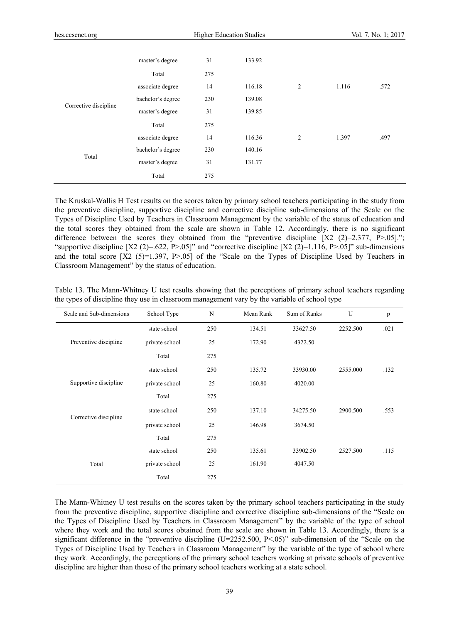|                       | master's degree   | 31  | 133.92 |   |       |      |
|-----------------------|-------------------|-----|--------|---|-------|------|
|                       | Total             | 275 |        |   |       |      |
|                       | associate degree  | 14  | 116.18 | 2 | 1.116 | .572 |
|                       | bachelor's degree | 230 | 139.08 |   |       |      |
| Corrective discipline | master's degree   | 31  | 139.85 |   |       |      |
|                       | Total             | 275 |        |   |       |      |
|                       | associate degree  | 14  | 116.36 | 2 | 1.397 | .497 |
| Total                 | bachelor's degree | 230 | 140.16 |   |       |      |
|                       | master's degree   | 31  | 131.77 |   |       |      |
|                       | Total             | 275 |        |   |       |      |

The Kruskal-Wallis H Test results on the scores taken by primary school teachers participating in the study from the preventive discipline, supportive discipline and corrective discipline sub-dimensions of the Scale on the Types of Discipline Used by Teachers in Classroom Management by the variable of the status of education and the total scores they obtained from the scale are shown in Table 12. Accordingly, there is no significant difference between the scores they obtained from the "preventive discipline [X2 (2)=2.377, P>.05]."; "supportive discipline  $[X2 (2)=622, P>05]$ " and "corrective discipline  $[X2 (2)=1.116, P>05]$ " sub-dimensions and the total score  $[X2 (5)=1.397, P>0.05]$  of the "Scale on the Types of Discipline Used by Teachers in Classroom Management" by the status of education.

Table 13. The Mann-Whitney U test results showing that the perceptions of primary school teachers regarding the types of discipline they use in classroom management vary by the variable of school type Scale and Sub-dimensions School Type N Mean Rank Sum of Ranks U p

| Scale and Sub-dimensions | School Type    | N   | Mean Rank | Sum of Ranks | U        | p    |
|--------------------------|----------------|-----|-----------|--------------|----------|------|
|                          | state school   | 250 | 134.51    | 33627.50     | 2252.500 | .021 |
| Preventive discipline    | private school | 25  | 172.90    | 4322.50      |          |      |
|                          | Total          | 275 |           |              |          |      |
|                          | state school   | 250 | 135.72    | 33930.00     | 2555.000 | .132 |
| Supportive discipline    | private school | 25  | 160.80    | 4020.00      |          |      |
|                          | Total          | 275 |           |              |          |      |
| Corrective discipline    | state school   | 250 | 137.10    | 34275.50     | 2900.500 | .553 |
|                          | private school | 25  | 146.98    | 3674.50      |          |      |
|                          | Total          | 275 |           |              |          |      |
|                          | state school   | 250 | 135.61    | 33902.50     | 2527.500 | .115 |
| Total                    | private school | 25  | 161.90    | 4047.50      |          |      |
|                          | Total          | 275 |           |              |          |      |

The Mann-Whitney U test results on the scores taken by the primary school teachers participating in the study from the preventive discipline, supportive discipline and corrective discipline sub-dimensions of the "Scale on the Types of Discipline Used by Teachers in Classroom Management" by the variable of the type of school where they work and the total scores obtained from the scale are shown in Table 13. Accordingly, there is a significant difference in the "preventive discipline (U=2252.500, P<.05)" sub-dimension of the "Scale on the Types of Discipline Used by Teachers in Classroom Management" by the variable of the type of school where they work. Accordingly, the perceptions of the primary school teachers working at private schools of preventive discipline are higher than those of the primary school teachers working at a state school.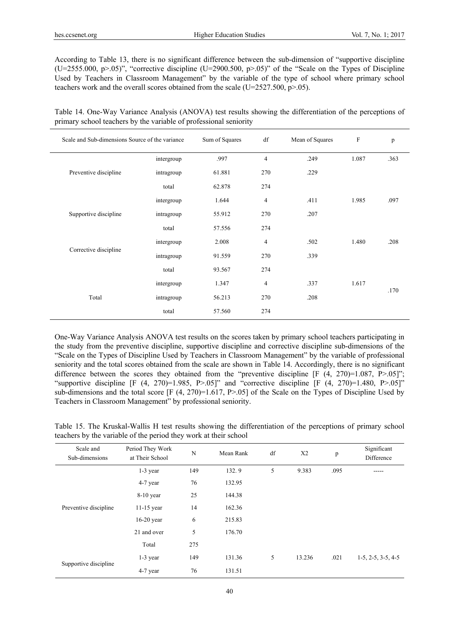According to Table 13, there is no significant difference between the sub-dimension of "supportive discipline (U=2555.000, p>.05)", "corrective discipline (U=2900.500, p>.05)" of the "Scale on the Types of Discipline Used by Teachers in Classroom Management" by the variable of the type of school where primary school teachers work and the overall scores obtained from the scale (U=2527.500,  $p>0.05$ ).

| Table 14. One-Way Variance Analysis (ANOVA) test results showing the differentiation of the perceptions of |  |  |  |  |
|------------------------------------------------------------------------------------------------------------|--|--|--|--|
| primary school teachers by the variable of professional seniority                                          |  |  |  |  |

| Scale and Sub-dimensions Source of the variance |            | Sum of Squares | df  | Mean of Squares | $\boldsymbol{\mathrm{F}}$ | p    |
|-------------------------------------------------|------------|----------------|-----|-----------------|---------------------------|------|
|                                                 | intergroup | .997           | 4   | .249            | 1.087                     | .363 |
| Preventive discipline                           | intragroup | 61.881         | 270 | .229            |                           |      |
|                                                 | total      | 62.878         | 274 |                 |                           |      |
|                                                 | intergroup | 1.644          | 4   | .411            | 1.985                     | .097 |
| Supportive discipline                           | intragroup | 55.912         | 270 | .207            |                           |      |
|                                                 | total      | 57.556         | 274 |                 |                           |      |
|                                                 | intergroup | 2.008          | 4   | .502            | 1.480                     | .208 |
| Corrective discipline                           | intragroup | 91.559         | 270 | .339            |                           |      |
|                                                 | total      | 93.567         | 274 |                 |                           |      |
|                                                 | intergroup | 1.347          | 4   | .337            | 1.617                     | .170 |
| Total                                           | intragroup | 56.213         | 270 | .208            |                           |      |
|                                                 | total      | 57.560         | 274 |                 |                           |      |

One-Way Variance Analysis ANOVA test results on the scores taken by primary school teachers participating in the study from the preventive discipline, supportive discipline and corrective discipline sub-dimensions of the "Scale on the Types of Discipline Used by Teachers in Classroom Management" by the variable of professional seniority and the total scores obtained from the scale are shown in Table 14. Accordingly, there is no significant difference between the scores they obtained from the "preventive discipline [F (4, 270)=1.087, P>.05]"; "supportive discipline  $[F (4, 270)=1.985, P>0.05]$ " and "corrective discipline  $[F (4, 270)=1.480, P>0.05]$ " sub-dimensions and the total score  $[F (4, 270)=1.617, P>0.05]$  of the Scale on the Types of Discipline Used by Teachers in Classroom Management" by professional seniority.

| Scale and<br>Sub-dimensions | Period They Work<br>at Their School | N   | Mean Rank | df | X <sub>2</sub> | p    | Significant<br>Difference     |
|-----------------------------|-------------------------------------|-----|-----------|----|----------------|------|-------------------------------|
|                             | $1-3$ year                          | 149 | 132.9     | 5  | 9.383          | .095 | -----                         |
|                             | 4-7 year                            | 76  | 132.95    |    |                |      |                               |
| Preventive discipline       | $8-10$ year                         | 25  | 144.38    |    |                |      |                               |
|                             | $11-15$ year                        | 14  | 162.36    |    |                |      |                               |
|                             | $16-20$ year                        | 6   | 215.83    |    |                |      |                               |
|                             | 21 and over                         | 5   | 176.70    |    |                |      |                               |
|                             | Total                               | 275 |           |    |                |      |                               |
|                             | $1-3$ year                          | 149 | 131.36    | 5  | 13.236         | .021 | $1-5$ , $2-5$ , $3-5$ , $4-5$ |
| Supportive discipline       | 4-7 year                            | 76  | 131.51    |    |                |      |                               |

Table 15. The Kruskal-Wallis H test results showing the differentiation of the perceptions of primary school teachers by the variable of the period they work at their school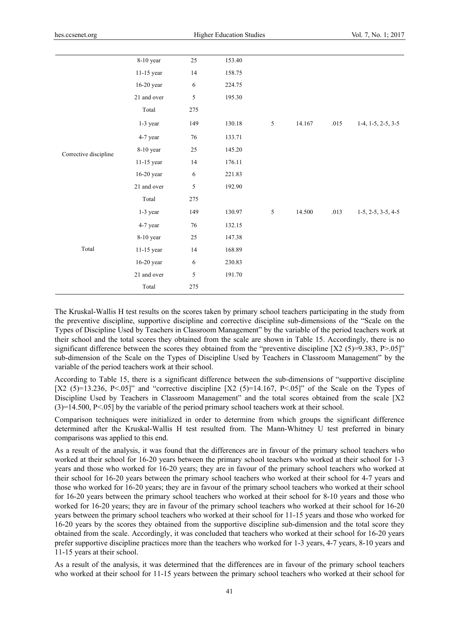|                       | $8-10$ year | 25         | 153.40 |   |        |      |                      |
|-----------------------|-------------|------------|--------|---|--------|------|----------------------|
|                       | 11-15 year  | 14         | 158.75 |   |        |      |                      |
|                       | 16-20 year  | $\sqrt{6}$ | 224.75 |   |        |      |                      |
|                       | 21 and over | 5          | 195.30 |   |        |      |                      |
| Corrective discipline | Total       | 275        |        |   |        |      |                      |
|                       | 1-3 year    | 149        | 130.18 | 5 | 14.167 | .015 | $1-4, 1-5, 2-5, 3-5$ |
|                       | 4-7 year    | $76\,$     | 133.71 |   |        |      |                      |
|                       | 8-10 year   | $25\,$     | 145.20 |   |        |      |                      |
|                       | 11-15 year  | 14         | 176.11 |   |        |      |                      |
|                       | 16-20 year  | $\sqrt{6}$ | 221.83 |   |        |      |                      |
|                       | 21 and over | 5          | 192.90 |   |        |      |                      |
|                       | Total       | 275        |        |   |        |      |                      |
|                       | 1-3 year    | 149        | 130.97 | 5 | 14.500 | .013 | $1-5, 2-5, 3-5, 4-5$ |
|                       | 4-7 year    | $76\,$     | 132.15 |   |        |      |                      |
|                       | $8-10$ year | $25\,$     | 147.38 |   |        |      |                      |
| Total                 | 11-15 year  | 14         | 168.89 |   |        |      |                      |
|                       | 16-20 year  | 6          | 230.83 |   |        |      |                      |
|                       | 21 and over | 5          | 191.70 |   |        |      |                      |
|                       | Total       | 275        |        |   |        |      |                      |

The Kruskal-Wallis H test results on the scores taken by primary school teachers participating in the study from the preventive discipline, supportive discipline and corrective discipline sub-dimensions of the "Scale on the Types of Discipline Used by Teachers in Classroom Management" by the variable of the period teachers work at their school and the total scores they obtained from the scale are shown in Table 15. Accordingly, there is no significant difference between the scores they obtained from the "preventive discipline  $[X2 (5)=9.383, P>0.05]$ " sub-dimension of the Scale on the Types of Discipline Used by Teachers in Classroom Management" by the variable of the period teachers work at their school.

According to Table 15, there is a significant difference between the sub-dimensions of "supportive discipline [X2 (5)=13.236, P<.05]" and "corrective discipline [X2 (5)=14.167, P<.05]" of the Scale on the Types of Discipline Used by Teachers in Classroom Management" and the total scores obtained from the scale [X2 (3)=14.500, P<.05] by the variable of the period primary school teachers work at their school.

Comparison techniques were initialized in order to determine from which groups the significant difference determined after the Kruskal-Wallis H test resulted from. The Mann-Whitney U test preferred in binary comparisons was applied to this end.

As a result of the analysis, it was found that the differences are in favour of the primary school teachers who worked at their school for 16-20 years between the primary school teachers who worked at their school for 1-3 years and those who worked for 16-20 years; they are in favour of the primary school teachers who worked at their school for 16-20 years between the primary school teachers who worked at their school for 4-7 years and those who worked for 16-20 years; they are in favour of the primary school teachers who worked at their school for 16-20 years between the primary school teachers who worked at their school for 8-10 years and those who worked for 16-20 years; they are in favour of the primary school teachers who worked at their school for 16-20 years between the primary school teachers who worked at their school for 11-15 years and those who worked for 16-20 years by the scores they obtained from the supportive discipline sub-dimension and the total score they obtained from the scale. Accordingly, it was concluded that teachers who worked at their school for 16-20 years prefer supportive discipline practices more than the teachers who worked for 1-3 years, 4-7 years, 8-10 years and 11-15 years at their school.

As a result of the analysis, it was determined that the differences are in favour of the primary school teachers who worked at their school for 11-15 years between the primary school teachers who worked at their school for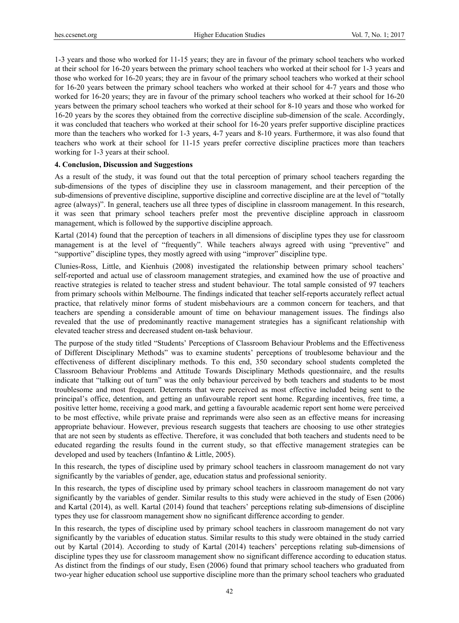1-3 years and those who worked for 11-15 years; they are in favour of the primary school teachers who worked at their school for 16-20 years between the primary school teachers who worked at their school for 1-3 years and those who worked for 16-20 years; they are in favour of the primary school teachers who worked at their school for 16-20 years between the primary school teachers who worked at their school for 4-7 years and those who worked for 16-20 years; they are in favour of the primary school teachers who worked at their school for 16-20 years between the primary school teachers who worked at their school for 8-10 years and those who worked for 16-20 years by the scores they obtained from the corrective discipline sub-dimension of the scale. Accordingly, it was concluded that teachers who worked at their school for 16-20 years prefer supportive discipline practices more than the teachers who worked for 1-3 years, 4-7 years and 8-10 years. Furthermore, it was also found that teachers who work at their school for 11-15 years prefer corrective discipline practices more than teachers working for 1-3 years at their school.

#### **4. Conclusion, Discussion and Suggestions**

As a result of the study, it was found out that the total perception of primary school teachers regarding the sub-dimensions of the types of discipline they use in classroom management, and their perception of the sub-dimensions of preventive discipline, supportive discipline and corrective discipline are at the level of "totally agree (always)". In general, teachers use all three types of discipline in classroom management. In this research, it was seen that primary school teachers prefer most the preventive discipline approach in classroom management, which is followed by the supportive discipline approach.

Kartal (2014) found that the perception of teachers in all dimensions of discipline types they use for classroom management is at the level of "frequently". While teachers always agreed with using "preventive" and "supportive" discipline types, they mostly agreed with using "improver" discipline type.

Clunies-Ross, Little, and Kienhuis (2008) investigated the relationship between primary school teachers' self-reported and actual use of classroom management strategies, and examined how the use of proactive and reactive strategies is related to teacher stress and student behaviour. The total sample consisted of 97 teachers from primary schools within Melbourne. The findings indicated that teacher self-reports accurately reflect actual practice, that relatively minor forms of student misbehaviours are a common concern for teachers, and that teachers are spending a considerable amount of time on behaviour management issues. The findings also revealed that the use of predominantly reactive management strategies has a significant relationship with elevated teacher stress and decreased student on-task behaviour.

The purpose of the study titled "Students' Perceptions of Classroom Behaviour Problems and the Effectiveness of Different Disciplinary Methods" was to examine students' perceptions of troublesome behaviour and the effectiveness of different disciplinary methods. To this end, 350 secondary school students completed the Classroom Behaviour Problems and Attitude Towards Disciplinary Methods questionnaire, and the results indicate that "talking out of turn" was the only behaviour perceived by both teachers and students to be most troublesome and most frequent. Deterrents that were perceived as most effective included being sent to the principal's office, detention, and getting an unfavourable report sent home. Regarding incentives, free time, a positive letter home, receiving a good mark, and getting a favourable academic report sent home were perceived to be most effective, while private praise and reprimands were also seen as an effective means for increasing appropriate behaviour. However, previous research suggests that teachers are choosing to use other strategies that are not seen by students as effective. Therefore, it was concluded that both teachers and students need to be educated regarding the results found in the current study, so that effective management strategies can be developed and used by teachers (Infantino & Little, 2005).

In this research, the types of discipline used by primary school teachers in classroom management do not vary significantly by the variables of gender, age, education status and professional seniority.

In this research, the types of discipline used by primary school teachers in classroom management do not vary significantly by the variables of gender. Similar results to this study were achieved in the study of Esen (2006) and Kartal (2014), as well. Kartal (2014) found that teachers' perceptions relating sub-dimensions of discipline types they use for classroom management show no significant difference according to gender.

In this research, the types of discipline used by primary school teachers in classroom management do not vary significantly by the variables of education status. Similar results to this study were obtained in the study carried out by Kartal (2014). According to study of Kartal (2014) teachers' perceptions relating sub-dimensions of discipline types they use for classroom management show no significant difference according to education status. As distinct from the findings of our study, Esen (2006) found that primary school teachers who graduated from two-year higher education school use supportive discipline more than the primary school teachers who graduated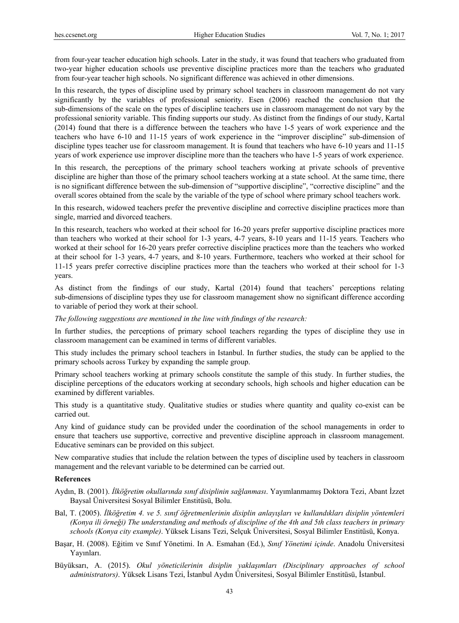from four-year teacher education high schools. Later in the study, it was found that teachers who graduated from two-year higher education schools use preventive discipline practices more than the teachers who graduated from four-year teacher high schools. No significant difference was achieved in other dimensions.

In this research, the types of discipline used by primary school teachers in classroom management do not vary significantly by the variables of professional seniority. Esen (2006) reached the conclusion that the sub-dimensions of the scale on the types of discipline teachers use in classroom management do not vary by the professional seniority variable. This finding supports our study. As distinct from the findings of our study, Kartal (2014) found that there is a difference between the teachers who have 1-5 years of work experience and the teachers who have 6-10 and 11-15 years of work experience in the "improver discipline" sub-dimension of discipline types teacher use for classroom management. It is found that teachers who have 6-10 years and 11-15 years of work experience use improver discipline more than the teachers who have 1-5 years of work experience.

In this research, the perceptions of the primary school teachers working at private schools of preventive discipline are higher than those of the primary school teachers working at a state school. At the same time, there is no significant difference between the sub-dimension of "supportive discipline", "corrective discipline" and the overall scores obtained from the scale by the variable of the type of school where primary school teachers work.

In this research, widowed teachers prefer the preventive discipline and corrective discipline practices more than single, married and divorced teachers.

In this research, teachers who worked at their school for 16-20 years prefer supportive discipline practices more than teachers who worked at their school for 1-3 years, 4-7 years, 8-10 years and 11-15 years. Teachers who worked at their school for 16-20 years prefer corrective discipline practices more than the teachers who worked at their school for 1-3 years, 4-7 years, and 8-10 years. Furthermore, teachers who worked at their school for 11-15 years prefer corrective discipline practices more than the teachers who worked at their school for 1-3 years.

As distinct from the findings of our study, Kartal (2014) found that teachers' perceptions relating sub-dimensions of discipline types they use for classroom management show no significant difference according to variable of period they work at their school.

#### *The following suggestions are mentioned in the line with findings of the research:*

In further studies, the perceptions of primary school teachers regarding the types of discipline they use in classroom management can be examined in terms of different variables.

This study includes the primary school teachers in Istanbul. In further studies, the study can be applied to the primary schools across Turkey by expanding the sample group.

Primary school teachers working at primary schools constitute the sample of this study. In further studies, the discipline perceptions of the educators working at secondary schools, high schools and higher education can be examined by different variables.

This study is a quantitative study. Qualitative studies or studies where quantity and quality co-exist can be carried out.

Any kind of guidance study can be provided under the coordination of the school managements in order to ensure that teachers use supportive, corrective and preventive discipline approach in classroom management. Educative seminars can be provided on this subject.

New comparative studies that include the relation between the types of discipline used by teachers in classroom management and the relevant variable to be determined can be carried out.

#### **References**

- Aydın, B. (2001). *İlköğretim okullarında sınıf disiplinin sağlanması*. Yayımlanmamış Doktora Tezi, Abant İzzet Baysal Üniversitesi Sosyal Bilimler Enstitüsü, Bolu.
- Bal, T. (2005). *İlköğretim 4. ve 5. sınıf öğretmenlerinin disiplin anlayışları ve kullandıkları disiplin yöntemleri (Konya ili örneği) The understanding and methods of discipline of the 4th and 5th class teachers in primary schools (Konya city example)*. Yüksek Lisans Tezi, Selçuk Üniversitesi, Sosyal Bilimler Enstitüsü, Konya.
- Başar, H. (2008). Eğitim ve Sınıf Yönetimi. In A. Esmahan (Ed.), *Sınıf Yönetimi içinde*. Anadolu Üniversitesi Yayınları.
- Büyüksarı, A. (2015). *Okul yöneticilerinin disiplin yaklaşımları (Disciplinary approaches of school administrators)*. Yüksek Lisans Tezi, İstanbul Aydın Üniversitesi, Sosyal Bilimler Enstitüsü, İstanbul.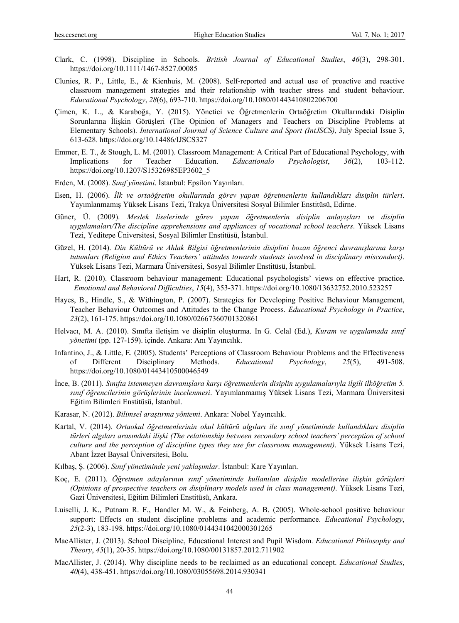- Clark, C. (1998). Discipline in Schools. *British Journal of Educational Studies*, *46*(3), 298-301. https://doi.org/10.1111/1467-8527.00085
- Clunies, R. P., Little, E., & Kienhuis, M. (2008). Self-reported and actual use of proactive and reactive classroom management strategies and their relationship with teacher stress and student behaviour. *Educational Psychology*, *28*(6), 693-710. https://doi.org/10.1080/01443410802206700
- Çimen, K. L., & Karaboğa, Y. (2015). Yönetici ve Öğretmenlerin Ortaöğretim Okullarındaki Disiplin Sorunlarına İlişkin Görüşleri (The Opinion of Managers and Teachers on Discipline Problems at Elementary Schools). *International Journal of Science Culture and Sport (IntJSCS)*, July Special Issue 3, 613-628. https://doi.org/10.14486/IJSCS327
- Emmer, E. T., & Stough, L. M. (2001). Classroom Management: A Critical Part of Educational Psychology, with Implications for Teacher Education. *Educationalo Psychologist*, *36*(2), 103-112. https://doi.org/10.1207/S15326985EP3602\_5
- Erden, M. (2008). *Sınıf yönetimi*. İstanbul: Epsilon Yayınları.
- Esen, H. (2006). *İlk ve ortaöğretim okullarında görev yapan öğretmenlerin kullandıkları disiplin türleri*. Yayımlanmamış Yüksek Lisans Tezi, Trakya Üniversitesi Sosyal Bilimler Enstitüsü, Edirne.
- Güner, Ü. (2009). *Meslek liselerinde görev yapan öğretmenlerin disiplin anlayışları ve disiplin uygulamaları/The discipline apprehensions and appliances of vocational school teachers*. Yüksek Lisans Tezi, Yeditepe Üniversitesi, Sosyal Bilimler Enstitüsü, İstanbul.
- Güzel, H. (2014). *Din Kültürü ve Ahlak Bilgisi öğretmenlerinin disiplini bozan öğrenci davranışlarına karşı tutumları (Religion and Ethics Teachers' attitudes towards students involved in disciplinary misconduct)*. Yüksek Lisans Tezi, Marmara Üniversitesi, Sosyal Bilimler Enstitüsü, İstanbul.
- Hart, R. (2010). Classroom behaviour management: Educational psychologists' views on effective practice. *Emotional and Behavioral Difficulties*, *15*(4), 353-371. https://doi.org/10.1080/13632752.2010.523257
- Hayes, B., Hindle, S., & Withington, P. (2007). Strategies for Developing Positive Behaviour Management, Teacher Behaviour Outcomes and Attitudes to the Change Process. *Educational Psychology in Practice*, *23*(2), 161-175. https://doi.org/10.1080/02667360701320861
- Helvacı, M. A. (2010). Sınıfta iletişim ve disiplin oluşturma. In G. Celal (Ed.), *Kuram ve uygulamada sınıf yönetimi* (pp. 127-159). içinde. Ankara: Anı Yayıncılık.
- Infantino, J., & Little, E. (2005). Students' Perceptions of Classroom Behaviour Problems and the Effectiveness of Different Disciplinary Methods. *Educational Psychology*, *25*(5), 491-508. https://doi.org/10.1080/01443410500046549
- İnce, B. (2011). *Sınıfta istenmeyen davranışlara karşı öğretmenlerin disiplin uygulamalarıyla ilgili ilköğretim 5. sınıf öğrencilerinin görüşlerinin incelenmesi*. Yayımlanmamış Yüksek Lisans Tezi, Marmara Üniversitesi Eğitim Bilimleri Enstitüsü, İstanbul.
- Karasar, N. (2012). *Bilimsel araştırma yöntemi*. Ankara: Nobel Yayıncılık.
- Kartal, V. (2014). *Ortaokul öğretmenlerinin okul kültürü algıları ile sınıf yönetiminde kullandıkları disiplin türleri algıları arasındaki ilişki (The relationship between secondary school teachers' perception of school culture and the perception of discipline types they use for classroom management)*. Yüksek Lisans Tezi, Abant İzzet Baysal Üniversitesi, Bolu.
- Kılbaş, Ş. (2006). *Sınıf yönetiminde yeni yaklaşımlar*. İstanbul: Kare Yayınları.
- Koç, E. (2011). *Öğretmen adaylarının sınıf yönetiminde kullanılan disiplin modellerine ilişkin görüşleri (Opinions of prospective teachers on disiplinary models used in class management)*. Yüksek Lisans Tezi, Gazi Üniversitesi, Eğitim Bilimleri Enstitüsü, Ankara.
- Luiselli, J. K., Putnam R. F., Handler M. W., & Feinberg, A. B. (2005). Whole-school positive behaviour support: Effects on student discipline problems and academic performance. *Educational Psychology*, *25*(2-3), 183-198. https://doi.org/10.1080/0144341042000301265
- MacAllister, J. (2013). School Discipline, Educational Interest and Pupil Wisdom. *Educational Philosophy and Theory*, *45*(1), 20-35. https://doi.org/10.1080/00131857.2012.711902
- MacAllister, J. (2014). Why discipline needs to be reclaimed as an educational concept. *Educational Studies*, *40*(4), 438-451. https://doi.org/10.1080/03055698.2014.930341